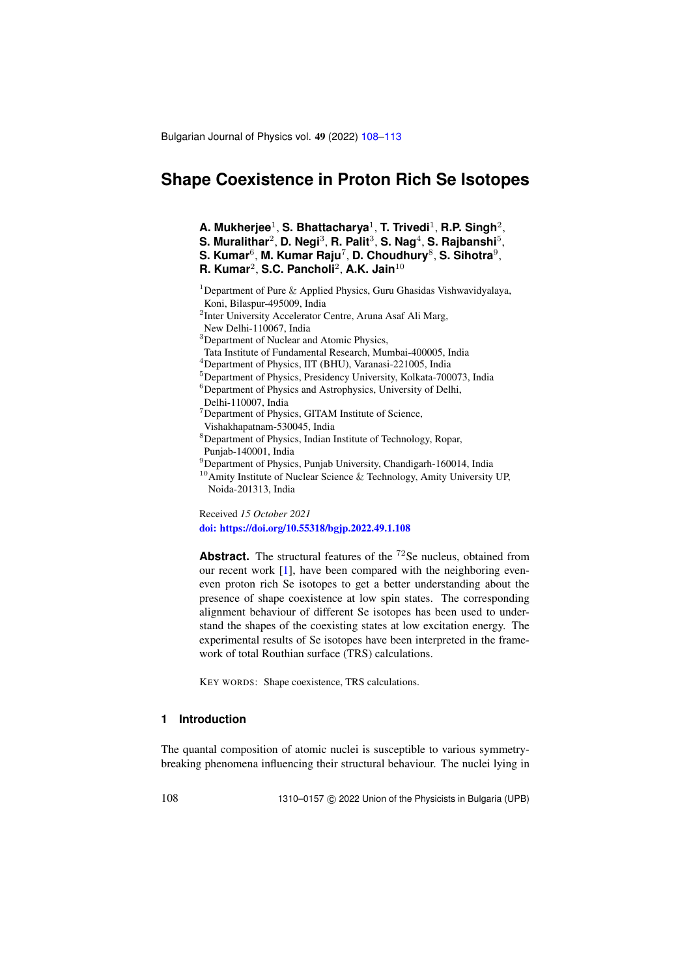Bulgarian Journal of Physics vol. 49 (2022) [108](#page-0-0)[–113](#page-5-0)

# <span id="page-0-0"></span>**Shape Coexistence in Proton Rich Se Isotopes**

**A. Mukherjee**<sup>1</sup> , **S. Bhattacharya**<sup>1</sup> , **T. Trivedi**<sup>1</sup> , **R.P. Singh**<sup>2</sup> ,

- $S$ . Muralithar<sup>2</sup>, D. Negi<sup>3</sup>, R. Palit<sup>3</sup>, S. Nag<sup>4</sup>, S. Rajbanshi<sup>5</sup>,
- **S. Kumar**<sup>6</sup> , **M. Kumar Raju**<sup>7</sup> , **D. Choudhury**<sup>8</sup> , **S. Sihotra**<sup>9</sup> ,

**R. Kumar**<sup>2</sup> , **S.C. Pancholi**<sup>2</sup> , **A.K. Jain**<sup>10</sup>

<sup>1</sup>Department of Pure  $\&$  Applied Physics, Guru Ghasidas Vishwavidyalaya, Koni, Bilaspur-495009, India

<sup>2</sup>Inter University Accelerator Centre, Aruna Asaf Ali Marg,

New Delhi-110067, India

<sup>3</sup>Department of Nuclear and Atomic Physics,

Tata Institute of Fundamental Research, Mumbai-400005, India

<sup>4</sup>Department of Physics, IIT (BHU), Varanasi-221005, India

<sup>5</sup>Department of Physics, Presidency University, Kolkata-700073, India

<sup>6</sup>Department of Physics and Astrophysics, University of Delhi,

Delhi-110007, India

<sup>7</sup>Department of Physics, GITAM Institute of Science,

Vishakhapatnam-530045, India

<sup>8</sup>Department of Physics, Indian Institute of Technology, Ropar, Punjab-140001, India

<sup>9</sup>Department of Physics, Punjab University, Chandigarh-160014, India  $^{10}$ Amity Institute of Nuclear Science & Technology, Amity University UP,

Noida-201313, India

Received *15 October 2021* [doi: https://doi.org/10.55318/bgjp.2022.49.1.108](https://doi.org/10.55318/bgjp.2022.49.1.108)

**Abstract.** The structural features of the <sup>72</sup>Se nucleus, obtained from our recent work [\[1\]](#page-5-1), have been compared with the neighboring eveneven proton rich Se isotopes to get a better understanding about the presence of shape coexistence at low spin states. The corresponding alignment behaviour of different Se isotopes has been used to understand the shapes of the coexisting states at low excitation energy. The experimental results of Se isotopes have been interpreted in the framework of total Routhian surface (TRS) calculations.

KEY WORDS: Shape coexistence, TRS calculations.

## **1 Introduction**

The quantal composition of atomic nuclei is susceptible to various symmetrybreaking phenomena influencing their structural behaviour. The nuclei lying in

108 1310–0157 C 2022 Union of the Physicists in Bulgaria (UPB)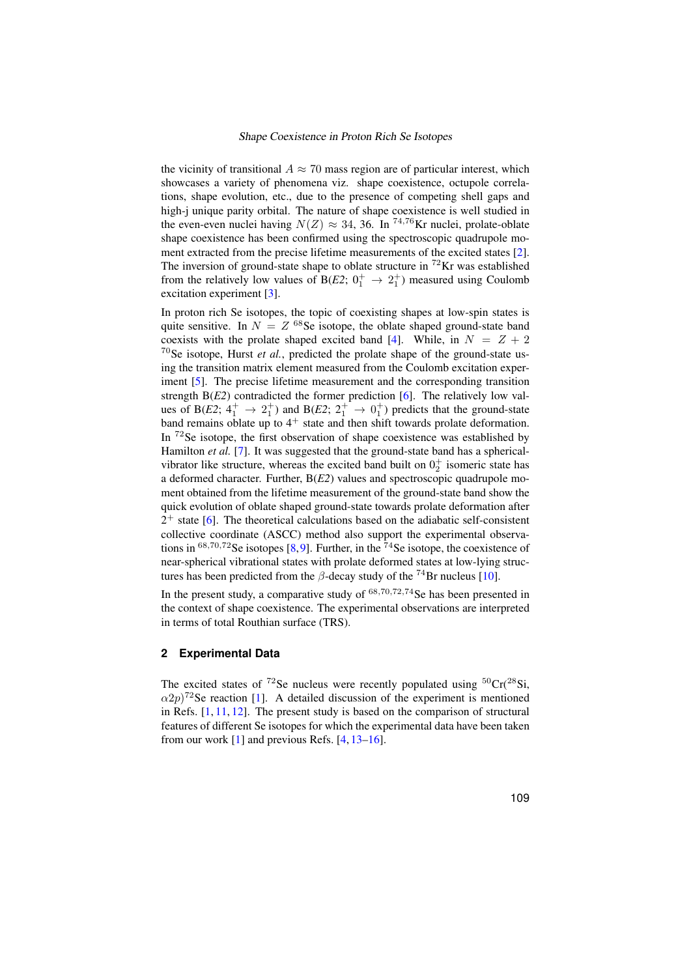### Shape Coexistence in Proton Rich Se Isotopes

the vicinity of transitional  $A \approx 70$  mass region are of particular interest, which showcases a variety of phenomena viz. shape coexistence, octupole correlations, shape evolution, etc., due to the presence of competing shell gaps and high-j unique parity orbital. The nature of shape coexistence is well studied in the even-even nuclei having  $N(Z) \approx 34$ , 36. In <sup>74,76</sup>Kr nuclei, prolate-oblate shape coexistence has been confirmed using the spectroscopic quadrupole moment extracted from the precise lifetime measurements of the excited states [\[2\]](#page-5-2). The inversion of ground-state shape to oblate structure in  ${}^{72}$ Kr was established from the relatively low values of B( $E2$ ;  $0^+_1 \rightarrow 2^+_1$ ) measured using Coulomb excitation experiment [\[3\]](#page-5-3).

In proton rich Se isotopes, the topic of coexisting shapes at low-spin states is quite sensitive. In  $N = Z^{68}$ Se isotope, the oblate shaped ground-state band coexists with the prolate shaped excited band [\[4\]](#page-5-4). While, in  $N = Z + 2$ <sup>70</sup>Se isotope, Hurst *et al.*, predicted the prolate shape of the ground-state using the transition matrix element measured from the Coulomb excitation experiment [\[5\]](#page-5-5). The precise lifetime measurement and the corresponding transition strength B(*E2*) contradicted the former prediction [\[6\]](#page-5-6). The relatively low values of B(*E2*;  $4^+_1 \rightarrow 2^+_1$ ) and B(*E2*;  $2^+_1 \rightarrow 0^+_1$ ) predicts that the ground-state band remains oblate up to  $4^+$  state and then shift towards prolate deformation. In <sup>72</sup>Se isotope, the first observation of shape coexistence was established by Hamilton *et al.* [\[7\]](#page-5-7). It was suggested that the ground-state band has a sphericalvibrator like structure, whereas the excited band built on  $0^+_2$  isomeric state has a deformed character. Further, B(*E2*) values and spectroscopic quadrupole moment obtained from the lifetime measurement of the ground-state band show the quick evolution of oblate shaped ground-state towards prolate deformation after  $2^+$  state [\[6\]](#page-5-6). The theoretical calculations based on the adiabatic self-consistent collective coordinate (ASCC) method also support the experimental observations in  ${}^{68,70,72}$ Se isotopes [\[8,](#page-5-8)[9\]](#page-5-9). Further, in the  ${}^{74}$ Se isotope, the coexistence of near-spherical vibrational states with prolate deformed states at low-lying structures has been predicted from the  $\beta$ -decay study of the <sup>74</sup>Br nucleus [\[10\]](#page-5-10).

In the present study, a comparative study of  $68,70,72,74$  Se has been presented in the context of shape coexistence. The experimental observations are interpreted in terms of total Routhian surface (TRS).

## **2 Experimental Data**

The excited states of  $72$ Se nucleus were recently populated using  $50Cr(^{28}Si,$  $\alpha 2p$ <sup>72</sup>Se reaction [\[1\]](#page-5-1). A detailed discussion of the experiment is mentioned in Refs. [\[1,](#page-5-1) [11,](#page-5-11) [12\]](#page-5-12). The present study is based on the comparison of structural features of different Se isotopes for which the experimental data have been taken from our work  $[1]$  and previous Refs.  $[4, 13-16]$  $[4, 13-16]$  $[4, 13-16]$  $[4, 13-16]$ .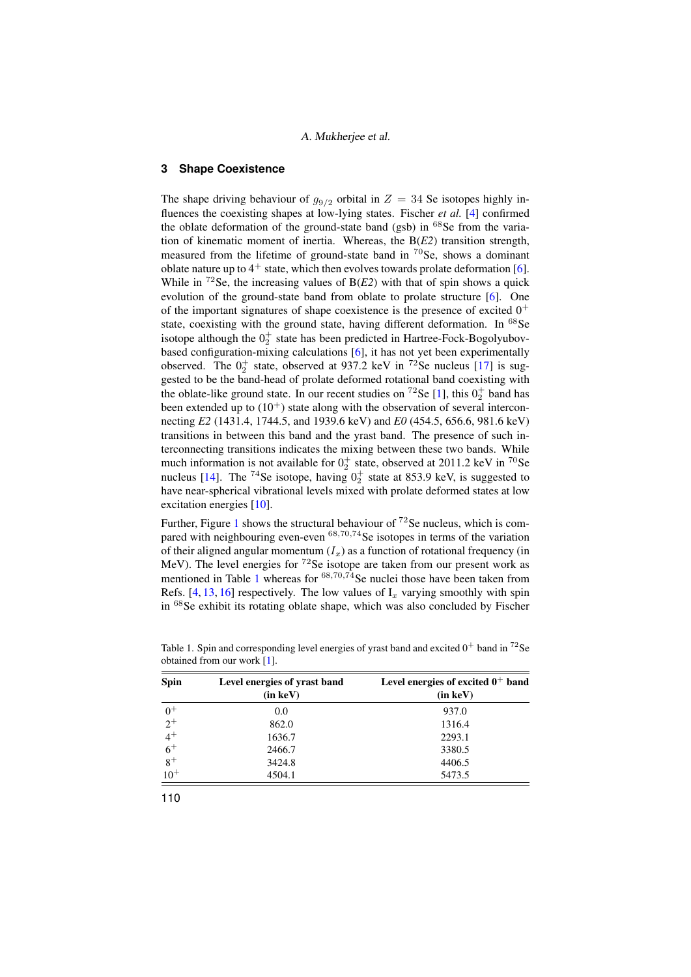## A. Mukherjee et al.

## **3 Shape Coexistence**

The shape driving behaviour of  $g_{9/2}$  orbital in  $Z = 34$  Se isotopes highly influences the coexisting shapes at low-lying states. Fischer *et al.* [\[4\]](#page-5-4) confirmed the oblate deformation of the ground-state band (gsb) in  $68$ Se from the variation of kinematic moment of inertia. Whereas, the B(*E2*) transition strength, measured from the lifetime of ground-state band in  $^{70}$ Se, shows a dominant oblate nature up to  $4^+$  state, which then evolves towards prolate deformation [\[6\]](#page-5-6). While in  ${}^{72}$ Se, the increasing values of B( $E2$ ) with that of spin shows a quick evolution of the ground-state band from oblate to prolate structure [\[6\]](#page-5-6). One of the important signatures of shape coexistence is the presence of excited  $0^+$ state, coexisting with the ground state, having different deformation. In <sup>68</sup>Se isotope although the  $0^+_2$  state has been predicted in Hartree-Fock-Bogolyubovbased configuration-mixing calculations [\[6\]](#page-5-6), it has not yet been experimentally observed. The  $0^+_2$  state, observed at 937.2 keV in <sup>72</sup>Se nucleus [\[17\]](#page-5-15) is suggested to be the band-head of prolate deformed rotational band coexisting with the oblate-like ground state. In our recent studies on <sup>72</sup>Se [\[1\]](#page-5-1), this  $0_2^+$  band has been extended up to  $(10^+)$  state along with the observation of several interconnecting *E2* (1431.4, 1744.5, and 1939.6 keV) and *E0* (454.5, 656.6, 981.6 keV) transitions in between this band and the yrast band. The presence of such interconnecting transitions indicates the mixing between these two bands. While much information is not available for  $0^+_2$  state, observed at 2011.2 keV in <sup>70</sup>Se nucleus [\[14\]](#page-5-16). The <sup>74</sup>Se isotope, having  $0<sub>2</sub><sup>+</sup>$  state at 853.9 keV, is suggested to have near-spherical vibrational levels mixed with prolate deformed states at low excitation energies [\[10\]](#page-5-10).

Further, Figure [1](#page-3-0) shows the structural behaviour of  $72$  Se nucleus, which is compared with neighbouring even-even  $68,70,74$  Se isotopes in terms of the variation of their aligned angular momentum  $(I_x)$  as a function of rotational frequency (in MeV). The level energies for  ${}^{72}$ Se isotope are taken from our present work as mentioned in Table [1](#page-2-0) whereas for  ${}^{68,70,74}$ Se nuclei those have been taken from Refs. [\[4,](#page-5-4) [13,](#page-5-13) [16\]](#page-5-14) respectively. The low values of  $I<sub>x</sub>$  varying smoothly with spin in  $68$ Se exhibit its rotating oblate shape, which was also concluded by Fischer

| <b>Spin</b> | Level energies of yrast band<br>$(in \ keV)$ | Level energies of excited $0^+$ band<br>$(in \, keV)$ |
|-------------|----------------------------------------------|-------------------------------------------------------|
| $0^+$       | 0.0                                          | 937.0                                                 |
| $2^+$       | 862.0                                        | 1316.4                                                |
| $4^+$       | 1636.7                                       | 2293.1                                                |
| $rac{6}{8}$ | 2466.7                                       | 3380.5                                                |
|             | 3424.8                                       | 4406.5                                                |
| $10^{+}$    | 4504.1                                       | 5473.5                                                |

<span id="page-2-0"></span>Table 1. Spin and corresponding level energies of yrast band and excited  $0^+$  band in <sup>72</sup>Se obtained from our work [\[1\]](#page-5-1).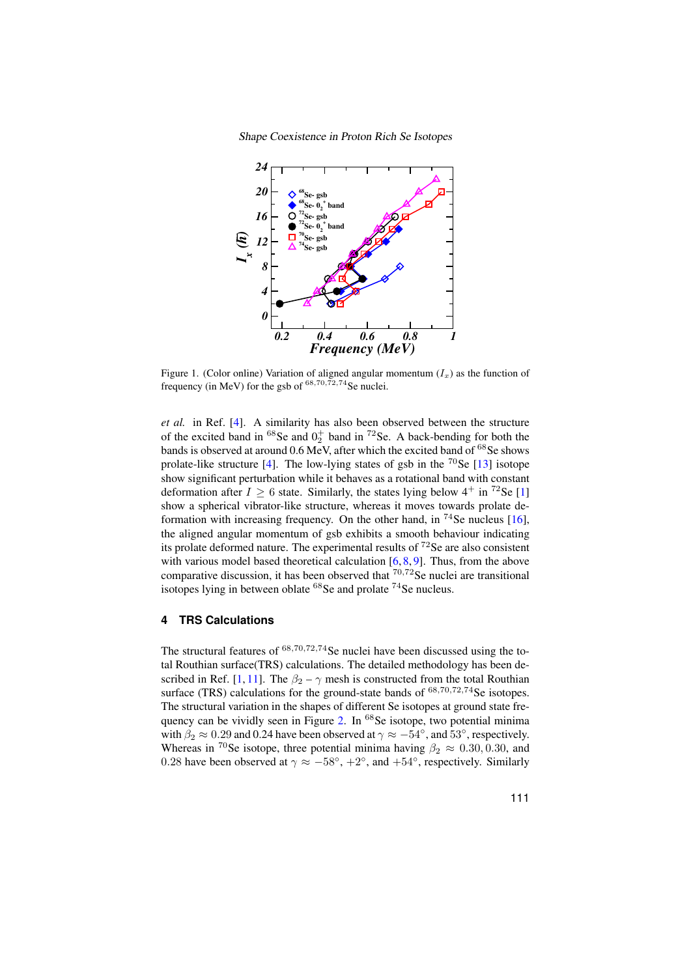Shape Coexistence in Proton Rich Se Isotopes



<span id="page-3-0"></span>Figure 1. (Color online) Variation of aligned angular momentum  $(I_x)$  as the function of Figure 1. (Color omine) variation of angles angular frequency (in MeV) for the gsb of  $^{68,70,72,74}$ Se nuclei.

et al. in Ref. [\[4\]](#page-5-4). A similarity has also been observed between the structure band is observed at around 0.6 MeV, and  $\frac{1}{4}$  meV, and  $\frac{1}{4}$  meV, and  $\frac{1}{4}$  meV, and  $\frac{1}{4}$  meV, and  $\frac{1}{4}$  meV, and  $\frac{1}{4}$  meV, and  $\frac{1}{4}$  meV, and  $\frac{1}{4}$  meV, and  $\frac{1}{4}$  meV, and  $\frac{1}{4}$  of the excited band in  ${}^{68}$ Se and  $0<sub>2</sub><sup>+</sup>$  band in  ${}^{72}$ Se. A back-bending for both the bands is observed at around 0.6 MeV, after which the excited band of <sup>68</sup>Se shows prolate-like structure [\[4\]](#page-5-4). The low-lying states of gsb in the  $^{70}$ Se [\[13\]](#page-5-13) isotope  $\frac{1}{2}$ show a spherical vibrator-like structure, whereas it moves towards prolate deshow significant perturbation while it behaves as a rotational band with constant deformation after  $I \ge 6$  state. Similarly, the states lying below  $4^+$  in  $7^2$ Se [\[1\]](#page-5-1) show a spherical vibrator-like structure, whereas it moves towards prolate de- $\frac{1}{2}$  is the calculation model based theoretical calculation from the above  $\frac{1}{2}$ . formation with increasing frequency. On the other hand, in  $^{74}$ Se nucleus [\[16\]](#page-5-14), the aligned angular momentum of gsb exhibits a smooth behaviour indicating with various model based theoretical calculation [\[6,](#page-5-6) [8,](#page-5-8) [9\]](#page-5-9). Thus, from the above ving in between oblate  $^{68}\mathrm{Se}$  and prolate  $^{74}\mathrm{Se}$  nucleus isotopes lying in between oblate  $^{68}$ Se and prolate  $^{74}$ Se nucleus. its prolate deformed nature. The experimental results of  $72$ Se are also consistent comparative discussion, it has been observed that  $70,72$ Se nuclei are transitional

## surface (TRS) calculations for the ground-state bands of <sup>68</sup>,70,72,<sup>74</sup>Se isotopes. **4 TRS Calculations**

The structural features of  $68,70,72,74$  Se nuclei have been discussed using the total Routhian surface(TRS) calculations. The detailed methodology has been de-scribed in Ref. [\[1,](#page-5-1) [11\]](#page-5-11). The  $\beta_2 - \gamma$  mesh is constructed from the total Routhian surface (TRS) calculations for the ground-state bands of  $^{68,70,72,74}$ Se isotopes. The structural variation in the shapes of different Se isotopes at ground state fre-quency can be vividly seen in Figure [2.](#page-4-0) In <sup>68</sup>Se isotope, two potential minima with  $\beta_2 \approx 0.29$  and 0.24 have been observed at  $\gamma \approx -54^{\circ}$ , and 53°, respectively. Whereas in <sup>70</sup>Se isotope, three potential minima having  $\beta_2 \approx 0.30, 0.30,$  and 0.28 have been observed at  $\gamma \approx -58^\circ, +2^\circ$ , and  $+54^\circ$ , respectively. Similarly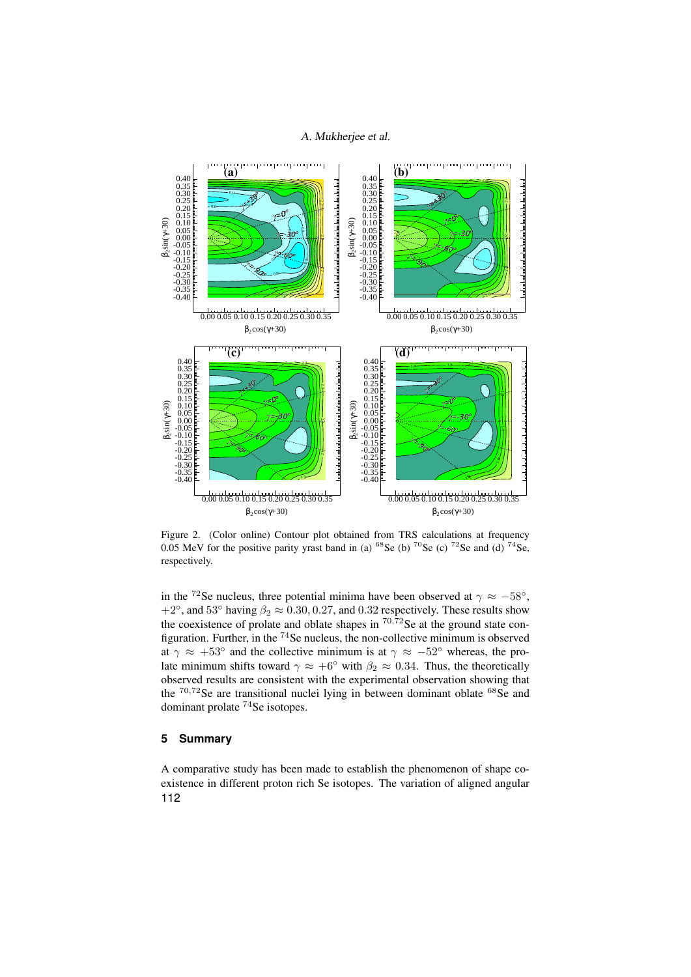## A. Mukherjee et al.



<span id="page-4-0"></span>Figure 2. (Color online) Contour plot obtained from TRS calculations at frequency 0.05 MeV for the positive parity yrast band in (a)  $^{68}$ Se (b)  $^{70}$ Se (c)  $^{72}$ Se and (d)  $^{74}$ Se, respectively.

in the <sup>72</sup>Se nucleus, three potential minima have been observed at  $\gamma \approx -58^\circ$ , in the seen the viewing  $\beta_2 \approx 0.30, 0.27$ , and 0.32 respectively. These results show  $+2^\circ$ , and 53° having  $\beta_2 \approx 0.30, 0.27$ , and 0.32 respectively. These results show the coexistence of prolate and oblate shapes in  $^{70,72}$ Se at the ground state conthe coexistence of protate and obtate shapes in the set at the ground state con-<br>figuration. Further, in the  $74$  Se nucleus, the non-collective minimum is observed  $\alpha$  at  $\gamma \approx +53°$  and the collective minimum is at  $\gamma \approx -52°$  whereas, the prolate minimum shifts toward  $\gamma \approx +6^\circ$ ° with  $\beta_2 \approx 0.34$ . Thus, the theoretically observed results are consistent with the experimental observation showing that the  $70,72$ Se are transitional nuclei lying in between dominant oblate  $68$ Se and dominant prolate  $74$ Se isotopes.  $\frac{1}{3}$ and the collective minimum is at  $\mathbb{R}^2 \times \mathbb{R}^2 \to \mathbb{R}^2$  where  $\mathbb{R}^2 \times \mathbb{R}^2 \to \mathbb{R}^2$ 

#### late minimum shifts toward γ ≈ 0.34. Thus, the theoretical limits is the theoretical limits of the theoretical  $\sim$  consistent with the experimental observation showing that experimental observation showing that  $\sim$ **5 Summary**

 $\Lambda$  corresponding introduction in between dominant oblate for the subsequence of change  $\sigma$ A comparative study has been made to establish the phenomenon of shape co-<br>cristenes in different mater gigh Se isotopes. The veristion of slighted appeller existence in different proton rich Se isotopes. The variation of aligned angular 112